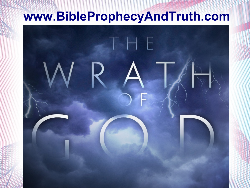### **www.BibleProphecyAndTruth.com**

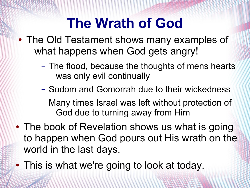- The Old Testament shows many examples of what happens when God gets angry!
	- The flood, because the thoughts of mens hearts was only evil continually
	- Sodom and Gomorrah due to their wickedness
	- Many times Israel was left without protection of God due to turning away from Him
- The book of Revelation shows us what is going to happen when God pours out His wrath on the world in the last days.
- This is what we're going to look at today.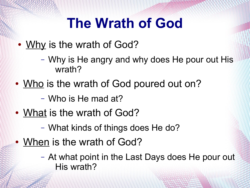- Why is the wrath of God?
	- Why is He angry and why does He pour out His wrath?
- Who is the wrath of God poured out on?
	- Who is He mad at?
- What is the wrath of God?
	- What kinds of things does He do?
- When is the wrath of God?
	- At what point in the Last Days does He pour out His wrath?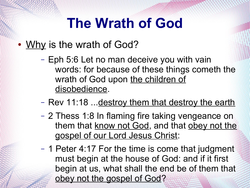- Why is the wrath of God?
	- Eph 5:6 Let no man deceive you with vain words: for because of these things cometh the wrath of God upon the children of disobedience.
	- Rev 11:18 ... destroy them that destroy the earth
	- 2 Thess 1:8 In flaming fire taking vengeance on them that know not God, and that obey not the gospel of our Lord Jesus Christ:
	- 1 Peter 4:17 For the time is come that judgment must begin at the house of God: and if it first begin at us, what shall the end be of them that obey not the gospel of God?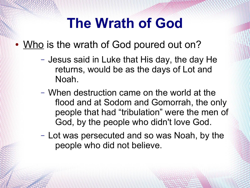- Who is the wrath of God poured out on?
	- Jesus said in Luke that His day, the day He returns, would be as the days of Lot and Noah.
	- When destruction came on the world at the flood and at Sodom and Gomorrah, the only people that had "tribulation" were the men of God, by the people who didn't love God.
	- Lot was persecuted and so was Noah, by the people who did not believe.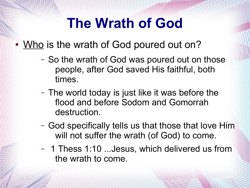- Who is the wrath of God poured out on?
	- So the wrath of God was poured out on those people, after God saved His faithful, both times.
	- The world today is just like it was before the flood and before Sodom and Gomorrah destruction.
	- God specifically tells us that those that love Him will not suffer the wrath (of God) to come.
	- 1 Thess 1:10 ...Jesus, which delivered us from the wrath to come.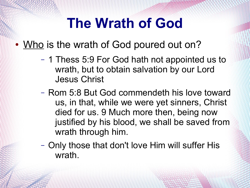• Who is the wrath of God poured out on?

- 1 Thess 5:9 For God hath not appointed us to wrath, but to obtain salvation by our Lord Jesus Christ
- Rom 5:8 But God commendeth his love toward us, in that, while we were yet sinners, Christ died for us. 9 Much more then, being now justified by his blood, we shall be saved from wrath through him.
- Only those that don't love Him will suffer His wrath.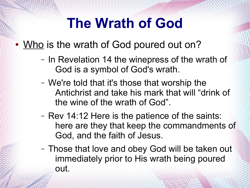- Who is the wrath of God poured out on?
	- In Revelation 14 the winepress of the wrath of God is a symbol of God's wrath.
	- We're told that it's those that worship the Antichrist and take his mark that will "drink of the wine of the wrath of God".
	- Rev 14:12 Here is the patience of the saints: here are they that keep the commandments of God, and the faith of Jesus.
	- Those that love and obey God will be taken out immediately prior to His wrath being poured out.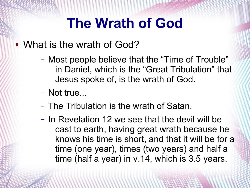- Most people believe that the "Time of Trouble" in Daniel, which is the "Great Tribulation" that Jesus spoke of, is the wrath of God.
- Not true...
- The Tribulation is the wrath of Satan.
- In Revelation 12 we see that the devil will be cast to earth, having great wrath because he knows his time is short, and that it will be for a time (one year), times (two years) and half a time (half a year) in v.14, which is 3.5 years.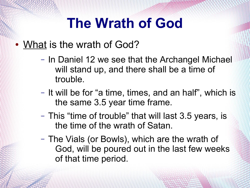- In Daniel 12 we see that the Archangel Michael will stand up, and there shall be a time of trouble.
- It will be for "a time, times, and an half", which is the same 3.5 year time frame.
- This "time of trouble" that will last 3.5 years, is the time of the wrath of Satan.
- The Vials (or Bowls), which are the wrath of God, will be poured out in the last few weeks of that time period.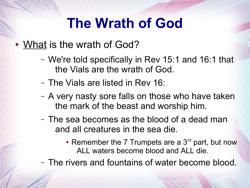- We're told specifically in Rev 15:1 and 16:1 that the Vials are the wrath of God.
- The Vials are listed in Rev 16:
- A very nasty sore falls on those who have taken the mark of the beast and worship him.
- The sea becomes as the blood of a dead man and all creatures in the sea die.
	- Remember the 7 Trumpets are a  $3<sup>rd</sup>$  part, but now ALL waters become blood and ALL die.
- The rivers and fountains of water become blood.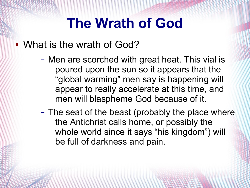- Men are scorched with great heat. This vial is poured upon the sun so it appears that the "global warming" men say is happening will appear to really accelerate at this time, and men will blaspheme God because of it.
- The seat of the beast (probably the place where the Antichrist calls home, or possibly the whole world since it says "his kingdom") will be full of darkness and pain.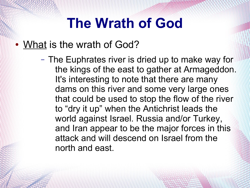### • What is the wrath of God?

– The Euphrates river is dried up to make way for the kings of the east to gather at Armageddon. It's interesting to note that there are many dams on this river and some very large ones that could be used to stop the flow of the river to "dry it up" when the Antichrist leads the world against Israel. Russia and/or Turkey, and Iran appear to be the major forces in this attack and will descend on Israel from the north and east.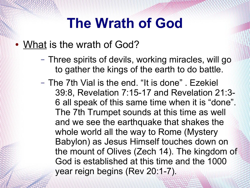- Three spirits of devils, working miracles, will go to gather the kings of the earth to do battle.
- The 7th Vial is the end. "It is done" . Ezekiel 39:8, Revelation 7:15-17 and Revelation 21:3- 6 all speak of this same time when it is "done". The 7th Trumpet sounds at this time as well and we see the earthquake that shakes the whole world all the way to Rome (Mystery Babylon) as Jesus Himself touches down on the mount of Olives (Zech 14). The kingdom of God is established at this time and the 1000 year reign begins (Rev 20:1-7).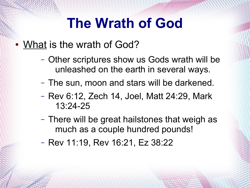- Other scriptures show us Gods wrath will be unleashed on the earth in several ways.
- The sun, moon and stars will be darkened.
- Rev 6:12, Zech 14, Joel, Matt 24:29, Mark 13:24-25
- There will be great hailstones that weigh as much as a couple hundred pounds!
- Rev 11:19, Rev 16:21, Ez 38:22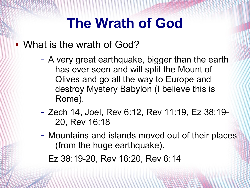- A very great earthquake, bigger than the earth has ever seen and will split the Mount of Olives and go all the way to Europe and destroy Mystery Babylon (I believe this is Rome).
- Zech 14, Joel, Rev 6:12, Rev 11:19, Ez 38:19- 20, Rev 16:18
- Mountains and islands moved out of their places (from the huge earthquake).
- Ez 38:19-20, Rev 16:20, Rev 6:14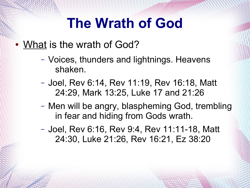- Voices, thunders and lightnings. Heavens shaken.
- Joel, Rev 6:14, Rev 11:19, Rev 16:18, Matt 24:29, Mark 13:25, Luke 17 and 21:26
- Men will be angry, blaspheming God, trembling in fear and hiding from Gods wrath.
- Joel, Rev 6:16, Rev 9:4, Rev 11:11-18, Matt 24:30, Luke 21:26, Rev 16:21, Ez 38:20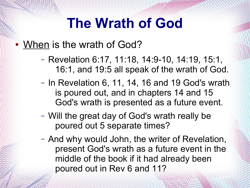- Revelation 6:17, 11:18, 14:9-10, 14:19, 15:1, 16:1, and 19:5 all speak of the wrath of God.
- In Revelation 6, 11, 14, 16 and 19 God's wrath is poured out, and in chapters 14 and 15 God's wrath is presented as a future event.
- Will the great day of God's wrath really be poured out 5 separate times?
- And why would John, the writer of Revelation, present God's wrath as a future event in the middle of the book if it had already been poured out in Rev 6 and 11?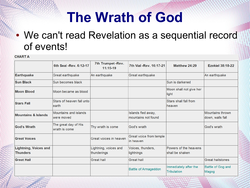### • We can't read Revelation as a sequential record of events!

#### **CHART A**

|                                                 | 6th Seal - Rev. 6:12-17               | 7th Trumpet -Rev.<br>$11:15-19$      | 7th Vial - Rev. 16:17-21                  | <b>Matthew 24:29</b>                        | <b>Ezekiel 38:18-22</b>                     |
|-------------------------------------------------|---------------------------------------|--------------------------------------|-------------------------------------------|---------------------------------------------|---------------------------------------------|
| <b>Earthquake</b>                               | Great earthquake                      | An earthquake                        | Great earthquake                          |                                             | An earthquake                               |
| <b>Sun Black</b>                                | Sun becomes black                     |                                      |                                           | Sun is darkened                             |                                             |
| <b>Moon Blood</b>                               | Moon became as blood                  |                                      |                                           | Moon shall not give her<br>light            |                                             |
| <b>Stars Fall</b>                               | Stars of heaven fall unto<br>learth   |                                      |                                           | Stars shall fall from<br>heaven             |                                             |
| <b>Mountains &amp; Islands</b>                  | Mountains and islands<br>were moved   |                                      | Islands fled away,<br>mountains not found |                                             | <b>Mountains thrown</b><br>down, walls fall |
| <b>God's Wrath</b>                              | The great day of His<br>wrath is come | Thy wrath is come                    | God's wrath                               |                                             | God's wrath                                 |
| <b>Great Voices</b>                             |                                       | Great voices in heaven               | Great voice from temple<br>lin heaven     |                                             |                                             |
| <b>Lightning, Voices and</b><br><b>Thunders</b> |                                       | Lightning, voices and<br>thunderings | Voices, thunders,<br>lightnings           | Powers of the heavens<br>shall be shaken    |                                             |
| <b>Great Hail</b>                               |                                       | <b>Great hail</b>                    | <b>Great hail</b>                         |                                             | <b>Great hailstones</b>                     |
|                                                 |                                       |                                      | <b>Battle of Armageddon</b>               | Immediately after the<br><b>Tribulation</b> | Battle of Gog and<br>Magog                  |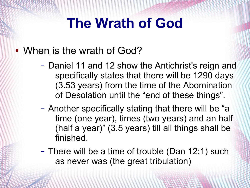- When is the wrath of God?
	- Daniel 11 and 12 show the Antichrist's reign and specifically states that there will be 1290 days (3.53 years) from the time of the Abomination of Desolation until the "end of these things".
	- Another specifically stating that there will be "a time (one year), times (two years) and an half (half a year)" (3.5 years) till all things shall be finished.
	- There will be a time of trouble (Dan 12:1) such as never was (the great tribulation)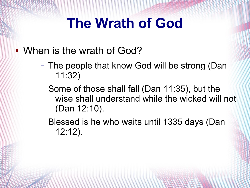- When is the wrath of God?
	- The people that know God will be strong (Dan 11:32)
	- Some of those shall fall (Dan 11:35), but the wise shall understand while the wicked will not (Dan 12:10).
	- Blessed is he who waits until 1335 days (Dan 12:12).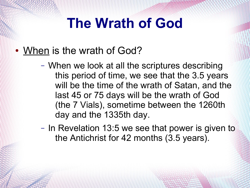- When is the wrath of God?
	- When we look at all the scriptures describing this period of time, we see that the 3.5 years will be the time of the wrath of Satan, and the last 45 or 75 days will be the wrath of God (the 7 Vials), sometime between the 1260th day and the 1335th day.
	- In Revelation 13:5 we see that power is given to the Antichrist for 42 months (3.5 years).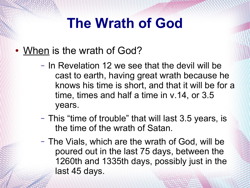- When is the wrath of God?
	- In Revelation 12 we see that the devil will be cast to earth, having great wrath because he knows his time is short, and that it will be for a time, times and half a time in v.14, or 3.5 years.
	- This "time of trouble" that will last 3.5 years, is the time of the wrath of Satan.
	- The Vials, which are the wrath of God, will be poured out in the last 75 days, between the 1260th and 1335th days, possibly just in the last 45 days.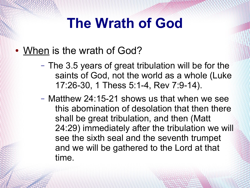- When is the wrath of God?
	- The 3.5 years of great tribulation will be for the saints of God, not the world as a whole (Luke 17:26-30, 1 Thess 5:1-4, Rev 7:9-14).
	- Matthew 24:15-21 shows us that when we see this abomination of desolation that then there shall be great tribulation, and then (Matt 24:29) immediately after the tribulation we will see the sixth seal and the seventh trumpet and we will be gathered to the Lord at that time.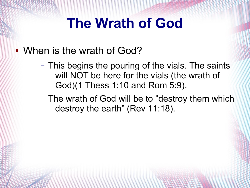- When is the wrath of God?
	- This begins the pouring of the vials. The saints will NOT be here for the vials (the wrath of God)(1 Thess 1:10 and Rom 5:9).
	- The wrath of God will be to "destroy them which destroy the earth" (Rev 11:18).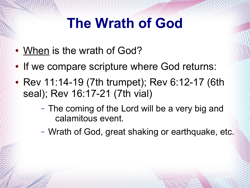- When is the wrath of God?
- If we compare scripture where God returns:
- Rev 11:14-19 (7th trumpet); Rev 6:12-17 (6th seal); Rev 16:17-21 (7th vial)
	- The coming of the Lord will be a very big and calamitous event.
	- Wrath of God, great shaking or earthquake, etc.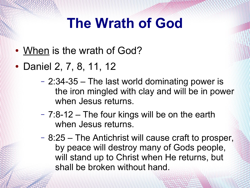- When is the wrath of God?
- Daniel 2, 7, 8, 11, 12
	- 2:34-35 The last world dominating power is the iron mingled with clay and will be in power when Jesus returns.
	- 7:8-12 The four kings will be on the earth when Jesus returns.
	- 8:25 The Antichrist will cause craft to prosper, by peace will destroy many of Gods people, will stand up to Christ when He returns, but shall be broken without hand.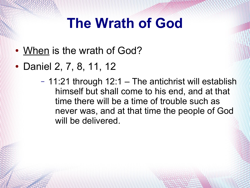- When is the wrath of God?
- Daniel 2, 7, 8, 11, 12
	- 11:21 through 12:1 The antichrist will establish himself but shall come to his end, and at that time there will be a time of trouble such as never was, and at that time the people of God will be delivered.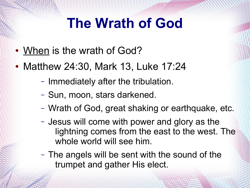- When is the wrath of God?
- Matthew 24:30, Mark 13, Luke 17:24
	- Immediately after the tribulation.
	- Sun, moon, stars darkened.
	- Wrath of God, great shaking or earthquake, etc.
	- Jesus will come with power and glory as the lightning comes from the east to the west. The whole world will see him.
	- The angels will be sent with the sound of the trumpet and gather His elect.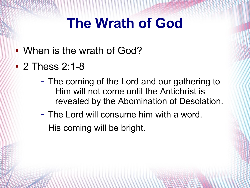- When is the wrath of God?
- 2 Thess 2:1-8
	- The coming of the Lord and our gathering to Him will not come until the Antichrist is revealed by the Abomination of Desolation.
	- The Lord will consume him with a word.
	- His coming will be bright.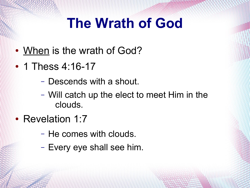- When is the wrath of God?
- 1 Thess  $4:16-17$ 
	- Descends with a shout.
	- Will catch up the elect to meet Him in the clouds.
- Revelation 1:7
	- He comes with clouds.
	- Every eye shall see him.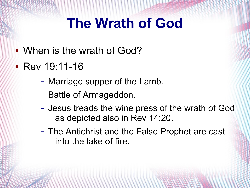- When is the wrath of God?
- Rev  $19:11-16$ 
	- Marriage supper of the Lamb.
	- Battle of Armageddon.
	- Jesus treads the wine press of the wrath of God as depicted also in Rev 14:20.
	- The Antichrist and the False Prophet are cast into the lake of fire.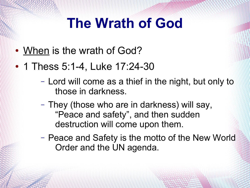- When is the wrath of God?
- 1 Thess 5:1-4, Luke 17:24-30
	- Lord will come as a thief in the night, but only to those in darkness.
	- They (those who are in darkness) will say, "Peace and safety", and then sudden destruction will come upon them.
	- Peace and Safety is the motto of the New World Order and the UN agenda.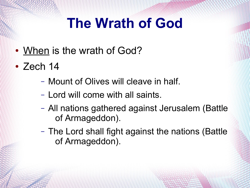- When is the wrath of God?
- **Zech 14** 
	- Mount of Olives will cleave in half.
	- Lord will come with all saints.
	- All nations gathered against Jerusalem (Battle of Armageddon).
	- The Lord shall fight against the nations (Battle of Armageddon).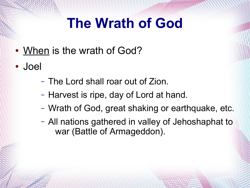- When is the wrath of God?
- Joel
	- The Lord shall roar out of Zion.
	- Harvest is ripe, day of Lord at hand.
	- Wrath of God, great shaking or earthquake, etc.
	- All nations gathered in valley of Jehoshaphat to war (Battle of Armageddon).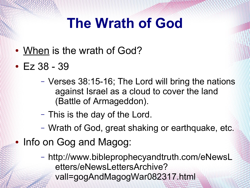- When is the wrath of God?
- $\cdot$  Ez 38 39
	- Verses 38:15-16; The Lord will bring the nations against Israel as a cloud to cover the land (Battle of Armageddon).
	- This is the day of the Lord.
	- Wrath of God, great shaking or earthquake, etc.
- Info on Gog and Magog:
	- http://www.bibleprophecyandtruth.com/eNewsL etters/eNewsLettersArchive? vall=gogAndMagogWar082317.html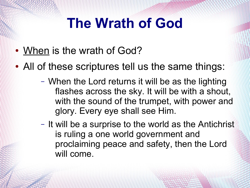- When is the wrath of God?
- All of these scriptures tell us the same things:
	- When the Lord returns it will be as the lighting flashes across the sky. It will be with a shout, with the sound of the trumpet, with power and glory. Every eye shall see Him.
	- It will be a surprise to the world as the Antichrist is ruling a one world government and proclaiming peace and safety, then the Lord will come.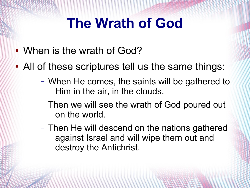- When is the wrath of God?
- All of these scriptures tell us the same things:
	- When He comes, the saints will be gathered to Him in the air, in the clouds.
	- Then we will see the wrath of God poured out on the world.
	- Then He will descend on the nations gathered against Israel and will wipe them out and destroy the Antichrist.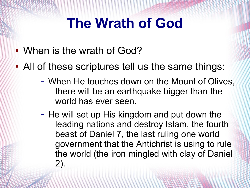- When is the wrath of God?
- All of these scriptures tell us the same things:
	- When He touches down on the Mount of Olives, there will be an earthquake bigger than the world has ever seen.
	- He will set up His kingdom and put down the leading nations and destroy Islam, the fourth beast of Daniel 7, the last ruling one world government that the Antichrist is using to rule the world (the iron mingled with clay of Daniel 2).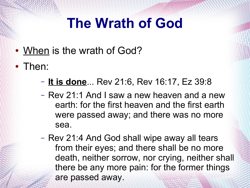- When is the wrath of God?
- Then:
	- **It is done**... Rev 21:6, Rev 16:17, Ez 39:8
	- Rev 21:1 And I saw a new heaven and a new earth: for the first heaven and the first earth were passed away; and there was no more sea.
	- Rev 21:4 And God shall wipe away all tears from their eyes; and there shall be no more death, neither sorrow, nor crying, neither shall there be any more pain: for the former things are passed away.